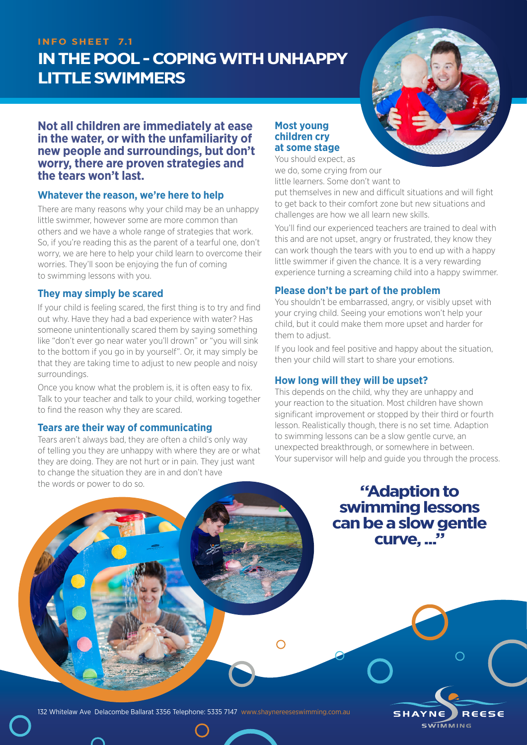## **INFO SHEET 7.1**

# **IN THE POOL - COPING WITH UNHAPPY LITTLE SWIMMERS**



## **Not all children are immediately at ease in the water, or with the unfamiliarity of new people and surroundings, but don't worry, there are proven strategies and the tears won't last.**

## **Whatever the reason, we're here to help**

There are many reasons why your child may be an unhappy little swimmer, however some are more common than others and we have a whole range of strategies that work. So, if you're reading this as the parent of a tearful one, don't worry, we are here to help your child learn to overcome their worries. They'll soon be enjoying the fun of coming to swimming lessons with you.

## **They may simply be scared**

If your child is feeling scared, the first thing is to try and find out why. Have they had a bad experience with water? Has someone unintentionally scared them by saying something like "don't ever go near water you'll drown" or "you will sink to the bottom if you go in by yourself". Or, it may simply be that they are taking time to adjust to new people and noisy surroundings.

Once you know what the problem is, it is often easy to fix. Talk to your teacher and talk to your child, working together to find the reason why they are scared.

### **Tears are their way of communicating**

Tears aren't always bad, they are often a child's only way of telling you they are unhappy with where they are or what they are doing. They are not hurt or in pain. They just want to change the situation they are in and don't have the words or power to do so.

## **Most young children cry at some stage**

You should expect, as we do, some crying from our little learners. Some don't want to

put themselves in new and difficult situations and will fight to get back to their comfort zone but new situations and challenges are how we all learn new skills.

You'll find our experienced teachers are trained to deal with this and are not upset, angry or frustrated, they know they can work though the tears with you to end up with a happy little swimmer if given the chance. It is a very rewarding experience turning a screaming child into a happy swimmer.

## **Please don't be part of the problem**

You shouldn't be embarrassed, angry, or visibly upset with your crying child. Seeing your emotions won't help your child, but it could make them more upset and harder for them to adjust.

If you look and feel positive and happy about the situation, then your child will start to share your emotions.

## **How long will they will be upset?**

This depends on the child, why they are unhappy and your reaction to the situation. Most children have shown significant improvement or stopped by their third or fourth lesson. Realistically though, there is no set time. Adaption to swimming lessons can be a slow gentle curve, an unexpected breakthrough, or somewhere in between. Your supervisor will help and guide you through the process.

> **"Adaption to swimming lessons can be a slow gentle curve, ..."**



132 Whitelaw Ave Delacombe Ballarat 3356 Telephone: 5335 7147 www.shaynereeseswimming.com.au